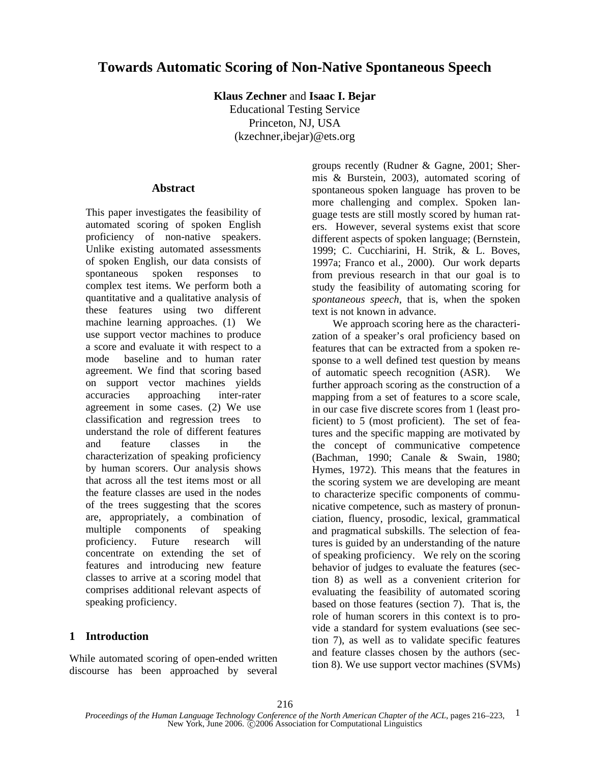# **Towards Automatic Scoring of Non-Native Spontaneous Speech**

**Klaus Zechner** and **Isaac I. Bejar** 

Educational Testing Service Princeton, NJ, USA (kzechner,ibejar)@ets.org

#### **Abstract**

This paper investigates the feasibility of automated scoring of spoken English proficiency of non-native speakers. Unlike existing automated assessments of spoken English, our data consists of spontaneous spoken responses to complex test items. We perform both a quantitative and a qualitative analysis of these features using two different machine learning approaches. (1) We use support vector machines to produce a score and evaluate it with respect to a mode baseline and to human rater agreement. We find that scoring based on support vector machines yields accuracies approaching inter-rater agreement in some cases. (2) We use classification and regression trees to understand the role of different features and feature classes in the characterization of speaking proficiency by human scorers. Our analysis shows that across all the test items most or all the feature classes are used in the nodes of the trees suggesting that the scores are, appropriately, a combination of multiple components of speaking proficiency. Future research will concentrate on extending the set of features and introducing new feature classes to arrive at a scoring model that comprises additional relevant aspects of speaking proficiency.

### **1 Introduction**

While automated scoring of open-ended written discourse has been approached by several

groups recently (Rudner & Gagne, 2001; Shermis & Burstein, 2003), automated scoring of spontaneous spoken language has proven to be more challenging and complex. Spoken language tests are still mostly scored by human raters. However, several systems exist that score different aspects of spoken language; (Bernstein, 1999; C. Cucchiarini, H. Strik, & L. Boves, 1997a; Franco et al., 2000). Our work departs from previous research in that our goal is to study the feasibility of automating scoring for *spontaneous speech*, that is, when the spoken text is not known in advance.

We approach scoring here as the characterization of a speaker's oral proficiency based on features that can be extracted from a spoken response to a well defined test question by means of automatic speech recognition (ASR). We further approach scoring as the construction of a mapping from a set of features to a score scale, in our case five discrete scores from 1 (least proficient) to 5 (most proficient). The set of features and the specific mapping are motivated by the concept of communicative competence (Bachman, 1990; Canale & Swain, 1980; Hymes, 1972). This means that the features in the scoring system we are developing are meant to characterize specific components of communicative competence, such as mastery of pronunciation, fluency, prosodic, lexical, grammatical and pragmatical subskills. The selection of features is guided by an understanding of the nature of speaking proficiency. We rely on the scoring behavior of judges to evaluate the features (section 8) as well as a convenient criterion for evaluating the feasibility of automated scoring based on those features (section 7). That is, the role of human scorers in this context is to provide a standard for system evaluations (see section 7), as well as to validate specific features and feature classes chosen by the authors (section 8). We use support vector machines (SVMs)

216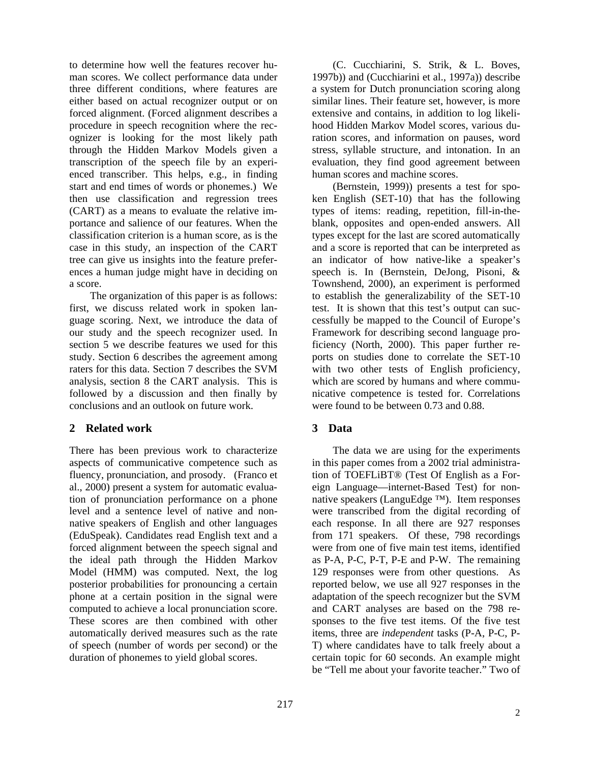to determine how well the features recover human scores. We collect performance data under three different conditions, where features are either based on actual recognizer output or on forced alignment. (Forced alignment describes a procedure in speech recognition where the recognizer is looking for the most likely path through the Hidden Markov Models given a transcription of the speech file by an experienced transcriber. This helps, e.g., in finding start and end times of words or phonemes.) We then use classification and regression trees (CART) as a means to evaluate the relative importance and salience of our features. When the classification criterion is a human score, as is the case in this study, an inspection of the CART tree can give us insights into the feature preferences a human judge might have in deciding on a score.

The organization of this paper is as follows: first, we discuss related work in spoken language scoring. Next, we introduce the data of our study and the speech recognizer used. In section 5 we describe features we used for this study. Section 6 describes the agreement among raters for this data. Section 7 describes the SVM analysis, section 8 the CART analysis. This is followed by a discussion and then finally by conclusions and an outlook on future work.

## **2 Related work**

There has been previous work to characterize aspects of communicative competence such as fluency, pronunciation, and prosody. (Franco et al., 2000) present a system for automatic evaluation of pronunciation performance on a phone level and a sentence level of native and nonnative speakers of English and other languages (EduSpeak). Candidates read English text and a forced alignment between the speech signal and the ideal path through the Hidden Markov Model (HMM) was computed. Next, the log posterior probabilities for pronouncing a certain phone at a certain position in the signal were computed to achieve a local pronunciation score. These scores are then combined with other automatically derived measures such as the rate of speech (number of words per second) or the duration of phonemes to yield global scores.

(C. Cucchiarini, S. Strik, & L. Boves, 1997b)) and (Cucchiarini et al., 1997a)) describe a system for Dutch pronunciation scoring along similar lines. Their feature set, however, is more extensive and contains, in addition to log likelihood Hidden Markov Model scores, various duration scores, and information on pauses, word stress, syllable structure, and intonation. In an evaluation, they find good agreement between human scores and machine scores.

(Bernstein, 1999)) presents a test for spoken English (SET-10) that has the following types of items: reading, repetition, fill-in-theblank, opposites and open-ended answers. All types except for the last are scored automatically and a score is reported that can be interpreted as an indicator of how native-like a speaker's speech is. In (Bernstein, DeJong, Pisoni, & Townshend, 2000), an experiment is performed to establish the generalizability of the SET-10 test. It is shown that this test's output can successfully be mapped to the Council of Europe's Framework for describing second language proficiency (North, 2000). This paper further reports on studies done to correlate the SET-10 with two other tests of English proficiency, which are scored by humans and where communicative competence is tested for. Correlations were found to be between 0.73 and 0.88.

## **3 Data**

The data we are using for the experiments in this paper comes from a 2002 trial administration of TOEFLiBT® (Test Of English as a Foreign Language—internet-Based Test) for nonnative speakers (LanguEdge ™). Item responses were transcribed from the digital recording of each response. In all there are 927 responses from 171 speakers. Of these, 798 recordings were from one of five main test items, identified as P-A, P-C, P-T, P-E and P-W. The remaining 129 responses were from other questions. As reported below, we use all 927 responses in the adaptation of the speech recognizer but the SVM and CART analyses are based on the 798 responses to the five test items. Of the five test items, three are *independent* tasks (P-A, P-C, P-T) where candidates have to talk freely about a certain topic for 60 seconds. An example might be "Tell me about your favorite teacher." Two of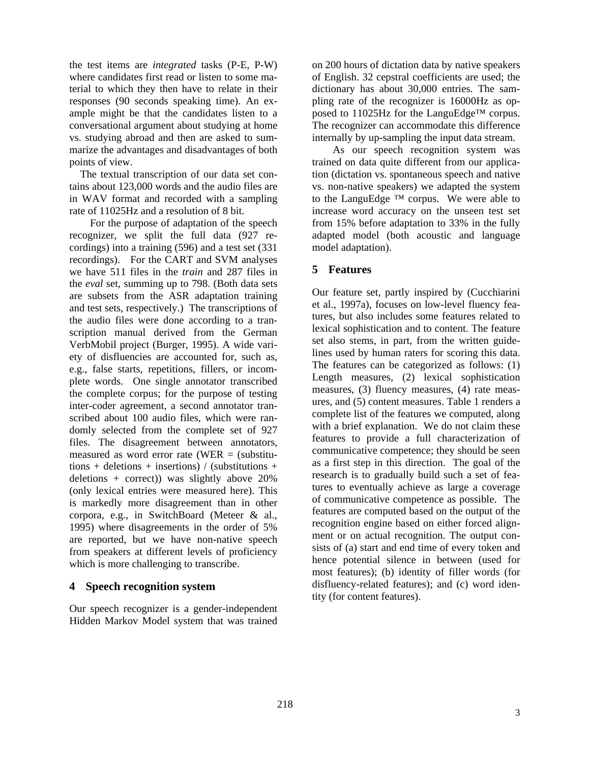the test items are *integrated* tasks (P-E, P-W) where candidates first read or listen to some material to which they then have to relate in their responses (90 seconds speaking time). An example might be that the candidates listen to a conversational argument about studying at home vs. studying abroad and then are asked to summarize the advantages and disadvantages of both points of view.

The textual transcription of our data set contains about 123,000 words and the audio files are in WAV format and recorded with a sampling rate of 11025Hz and a resolution of 8 bit.

For the purpose of adaptation of the speech recognizer, we split the full data (927 recordings) into a training (596) and a test set (331 recordings). For the CART and SVM analyses we have 511 files in the *train* and 287 files in the *eval* set, summing up to 798. (Both data sets are subsets from the ASR adaptation training and test sets, respectively.) The transcriptions of the audio files were done according to a transcription manual derived from the German VerbMobil project (Burger, 1995). A wide variety of disfluencies are accounted for, such as, e.g., false starts, repetitions, fillers, or incomplete words. One single annotator transcribed the complete corpus; for the purpose of testing inter-coder agreement, a second annotator transcribed about 100 audio files, which were randomly selected from the complete set of 927 files. The disagreement between annotators, measured as word error rate (WER = (substitutions + deletions + insertions) / (substitutions + deletions + correct)) was slightly above  $20\%$ (only lexical entries were measured here). This is markedly more disagreement than in other corpora, e.g., in SwitchBoard (Meteer & al., 1995) where disagreements in the order of 5% are reported, but we have non-native speech from speakers at different levels of proficiency which is more challenging to transcribe.

### **4 Speech recognition system**

Our speech recognizer is a gender-independent Hidden Markov Model system that was trained on 200 hours of dictation data by native speakers of English. 32 cepstral coefficients are used; the dictionary has about 30,000 entries. The sampling rate of the recognizer is 16000Hz as opposed to 11025Hz for the LanguEdge™ corpus. The recognizer can accommodate this difference internally by up-sampling the input data stream.

As our speech recognition system was trained on data quite different from our application (dictation vs. spontaneous speech and native vs. non-native speakers) we adapted the system to the LanguEdge ™ corpus. We were able to increase word accuracy on the unseen test set from 15% before adaptation to 33% in the fully adapted model (both acoustic and language model adaptation).

### **5 Features**

Our feature set, partly inspired by (Cucchiarini et al., 1997a), focuses on low-level fluency features, but also includes some features related to lexical sophistication and to content. The feature set also stems, in part, from the written guidelines used by human raters for scoring this data. The features can be categorized as follows: (1) Length measures, (2) lexical sophistication measures, (3) fluency measures, (4) rate measures, and (5) content measures. Table 1 renders a complete list of the features we computed, along with a brief explanation. We do not claim these features to provide a full characterization of communicative competence; they should be seen as a first step in this direction. The goal of the research is to gradually build such a set of features to eventually achieve as large a coverage of communicative competence as possible. The features are computed based on the output of the recognition engine based on either forced alignment or on actual recognition. The output consists of (a) start and end time of every token and hence potential silence in between (used for most features); (b) identity of filler words (for disfluency-related features); and (c) word identity (for content features).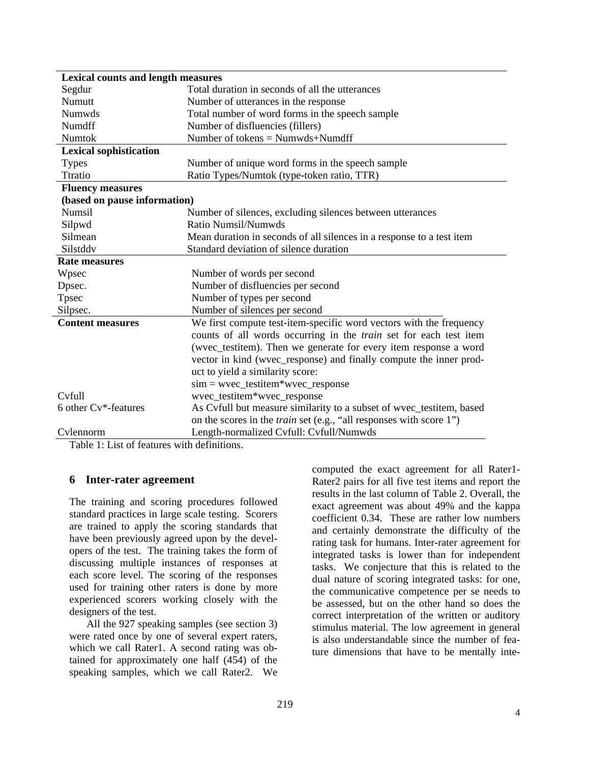| <b>Lexical counts and length measures</b> |                                                                            |  |  |  |  |  |
|-------------------------------------------|----------------------------------------------------------------------------|--|--|--|--|--|
| Segdur                                    | Total duration in seconds of all the utterances                            |  |  |  |  |  |
| Numutt                                    | Number of utterances in the response                                       |  |  |  |  |  |
| <b>Numwds</b>                             | Total number of word forms in the speech sample                            |  |  |  |  |  |
| Numdff                                    | Number of disfluencies (fillers)                                           |  |  |  |  |  |
| Numtok                                    | Number of tokens = $Numwds+Numdff$                                         |  |  |  |  |  |
| <b>Lexical sophistication</b>             |                                                                            |  |  |  |  |  |
| <b>Types</b>                              | Number of unique word forms in the speech sample                           |  |  |  |  |  |
| Ttratio                                   | Ratio Types/Numtok (type-token ratio, TTR)                                 |  |  |  |  |  |
| <b>Fluency measures</b>                   |                                                                            |  |  |  |  |  |
| (based on pause information)              |                                                                            |  |  |  |  |  |
| Numsil                                    | Number of silences, excluding silences between utterances                  |  |  |  |  |  |
| Silpwd                                    | Ratio Numsil/Numwds                                                        |  |  |  |  |  |
| Silmean                                   | Mean duration in seconds of all silences in a response to a test item      |  |  |  |  |  |
| Silstddv                                  | Standard deviation of silence duration                                     |  |  |  |  |  |
| <b>Rate measures</b>                      |                                                                            |  |  |  |  |  |
| Wpsec                                     | Number of words per second                                                 |  |  |  |  |  |
| Dpsec.                                    | Number of disfluencies per second                                          |  |  |  |  |  |
| Tpsec                                     | Number of types per second                                                 |  |  |  |  |  |
| Silpsec.                                  | Number of silences per second                                              |  |  |  |  |  |
| <b>Content measures</b>                   | We first compute test-item-specific word vectors with the frequency        |  |  |  |  |  |
|                                           | counts of all words occurring in the <i>train</i> set for each test item   |  |  |  |  |  |
|                                           | (wvec_testitem). Then we generate for every item response a word           |  |  |  |  |  |
|                                           | vector in kind (wvec_response) and finally compute the inner prod-         |  |  |  |  |  |
|                                           | uct to yield a similarity score:                                           |  |  |  |  |  |
|                                           | $sim =$ wvec_testitem*wvec_response                                        |  |  |  |  |  |
| Cyfull                                    | wvec_testitem*wvec_response                                                |  |  |  |  |  |
| 6 other Cv*-features                      | As Cvfull but measure similarity to a subset of wvec_testitem, based       |  |  |  |  |  |
|                                           | on the scores in the <i>train</i> set (e.g., "all responses with score 1") |  |  |  |  |  |
| Cylennorm                                 | Length-normalized Cvfull: Cvfull/Numwds                                    |  |  |  |  |  |

Table 1: List of features with definitions.

### **6 Inter-rater agreement**

The training and scoring procedures followed standard practices in large scale testing. Scorers are trained to apply the scoring standards that have been previously agreed upon by the developers of the test. The training takes the form of discussing multiple instances of responses at each score level. The scoring of the responses used for training other raters is done by more experienced scorers working closely with the designers of the test.

All the 927 speaking samples (see section 3) were rated once by one of several expert raters, which we call Rater1. A second rating was obtained for approximately one half (454) of the speaking samples, which we call Rater2. We

computed the exact agreement for all Rater1- Rater2 pairs for all five test items and report the results in the last column of Table 2. Overall, the exact agreement was about 49% and the kappa coefficient 0.34. These are rather low numbers and certainly demonstrate the difficulty of the rating task for humans. Inter-rater agreement for integrated tasks is lower than for independent tasks. We conjecture that this is related to the dual nature of scoring integrated tasks: for one, the communicative competence per se needs to be assessed, but on the other hand so does the correct interpretation of the written or auditory stimulus material. The low agreement in general is also understandable since the number of feature dimensions that have to be mentally inte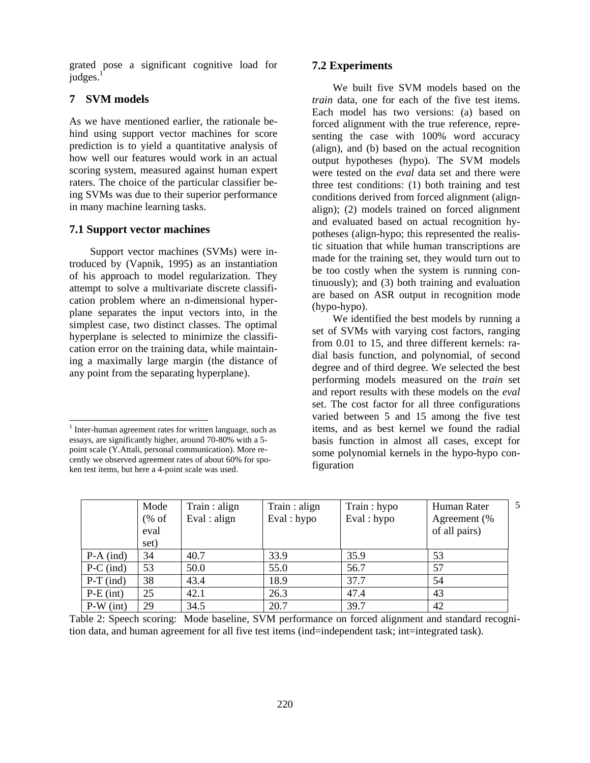grated pose a significant cognitive load for  $i$ udges. $<sup>1</sup>$ </sup>

#### **7 SVM models**

As we have mentioned earlier, the rationale behind using support vector machines for score prediction is to yield a quantitative analysis of how well our features would work in an actual scoring system, measured against human expert raters. The choice of the particular classifier being SVMs was due to their superior performance in many machine learning tasks.

#### **7.1 Support vector machines**

Support vector machines (SVMs) were introduced by (Vapnik, 1995) as an instantiation of his approach to model regularization. They attempt to solve a multivariate discrete classification problem where an n-dimensional hyperplane separates the input vectors into, in the simplest case, two distinct classes. The optimal hyperplane is selected to minimize the classification error on the training data, while maintaining a maximally large margin (the distance of any point from the separating hyperplane).

#### **7.2 Experiments**

We built five SVM models based on the *train* data, one for each of the five test items. Each model has two versions: (a) based on forced alignment with the true reference, representing the case with 100% word accuracy (align), and (b) based on the actual recognition output hypotheses (hypo). The SVM models were tested on the *eval* data set and there were three test conditions: (1) both training and test conditions derived from forced alignment (alignalign); (2) models trained on forced alignment and evaluated based on actual recognition hypotheses (align-hypo; this represented the realistic situation that while human transcriptions are made for the training set, they would turn out to be too costly when the system is running continuously); and (3) both training and evaluation are based on ASR output in recognition mode (hypo-hypo).

We identified the best models by running a set of SVMs with varying cost factors, ranging from 0.01 to 15, and three different kernels: radial basis function, and polynomial, of second degree and of third degree. We selected the best performing models measured on the *train* set and report results with these models on the *eval* set. The cost factor for all three configurations varied between 5 and 15 among the five test items, and as best kernel we found the radial basis function in almost all cases, except for some polynomial kernels in the hypo-hypo configuration

|             | Mode<br>% of<br>eval<br>set) | Train : align<br>Eval : align | Train : align<br>Eval : hypo | Train : hypo<br>Eval : hypo | Human Rater<br>Agreement (%<br>of all pairs) |
|-------------|------------------------------|-------------------------------|------------------------------|-----------------------------|----------------------------------------------|
| $P-A$ (ind) | 34                           | 40.7                          | 33.9                         | 35.9                        | 53                                           |
| $P-C$ (ind) | 53                           | 50.0                          | 55.0                         | 56.7                        | 57                                           |
| $P-T$ (ind) | 38                           | 43.4                          | 18.9                         | 37.7                        | 54                                           |
| $P-E$ (int) | 25                           | 42.1                          | 26.3                         | 47.4                        | 43                                           |
| $P-W(int)$  | 29                           | 34.5                          | 20.7                         | 39.7                        | 42                                           |

Table 2: Speech scoring: Mode baseline, SVM performance on forced alignment and standard recognition data, and human agreement for all five test items (ind=independent task; int=integrated task).

 $\frac{1}{1}$  $1$  Inter-human agreement rates for written language, such as essays, are significantly higher, around 70-80% with a 5 point scale (Y.Attali, personal communication). More recently we observed agreement rates of about 60% for spoken test items, but here a 4-point scale was used.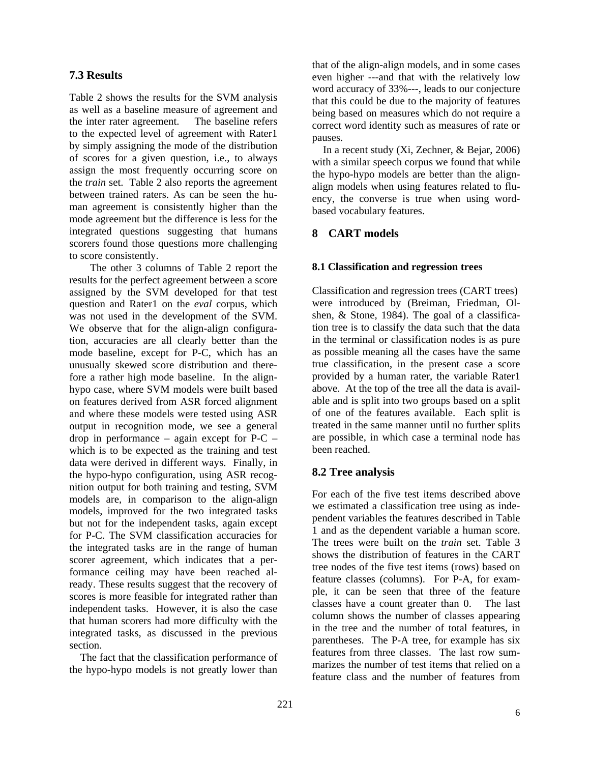### **7.3 Results**

Table 2 shows the results for the SVM analysis as well as a baseline measure of agreement and the inter rater agreement. The baseline refers to the expected level of agreement with Rater1 by simply assigning the mode of the distribution of scores for a given question, i.e., to always assign the most frequently occurring score on the *train* set. Table 2 also reports the agreement between trained raters. As can be seen the human agreement is consistently higher than the mode agreement but the difference is less for the integrated questions suggesting that humans scorers found those questions more challenging to score consistently.

The other 3 columns of Table 2 report the results for the perfect agreement between a score assigned by the SVM developed for that test question and Rater1 on the *eval* corpus, which was not used in the development of the SVM. We observe that for the align-align configuration, accuracies are all clearly better than the mode baseline, except for P-C, which has an unusually skewed score distribution and therefore a rather high mode baseline. In the alignhypo case, where SVM models were built based on features derived from ASR forced alignment and where these models were tested using ASR output in recognition mode, we see a general drop in performance – again except for P-C – which is to be expected as the training and test data were derived in different ways. Finally, in the hypo-hypo configuration, using ASR recognition output for both training and testing, SVM models are, in comparison to the align-align models, improved for the two integrated tasks but not for the independent tasks, again except for P-C. The SVM classification accuracies for the integrated tasks are in the range of human scorer agreement, which indicates that a performance ceiling may have been reached already. These results suggest that the recovery of scores is more feasible for integrated rather than independent tasks. However, it is also the case that human scorers had more difficulty with the integrated tasks, as discussed in the previous section.

The fact that the classification performance of the hypo-hypo models is not greatly lower than

that of the align-align models, and in some cases even higher ---and that with the relatively low word accuracy of 33%---, leads to our conjecture that this could be due to the majority of features being based on measures which do not require a correct word identity such as measures of rate or pauses.

In a recent study (Xi, Zechner, & Bejar, 2006) with a similar speech corpus we found that while the hypo-hypo models are better than the alignalign models when using features related to fluency, the converse is true when using wordbased vocabulary features.

## **8 CART models**

#### **8.1 Classification and regression trees**

Classification and regression trees (CART trees) were introduced by (Breiman, Friedman, Olshen, & Stone, 1984). The goal of a classification tree is to classify the data such that the data in the terminal or classification nodes is as pure as possible meaning all the cases have the same true classification, in the present case a score provided by a human rater, the variable Rater1 above. At the top of the tree all the data is available and is split into two groups based on a split of one of the features available. Each split is treated in the same manner until no further splits are possible, in which case a terminal node has been reached.

### **8.2 Tree analysis**

For each of the five test items described above we estimated a classification tree using as independent variables the features described in Table 1 and as the dependent variable a human score. The trees were built on the *train* set. Table 3 shows the distribution of features in the CART tree nodes of the five test items (rows) based on feature classes (columns). For P-A, for example, it can be seen that three of the feature classes have a count greater than 0. The last column shows the number of classes appearing in the tree and the number of total features, in parentheses. The P-A tree, for example has six features from three classes. The last row summarizes the number of test items that relied on a feature class and the number of features from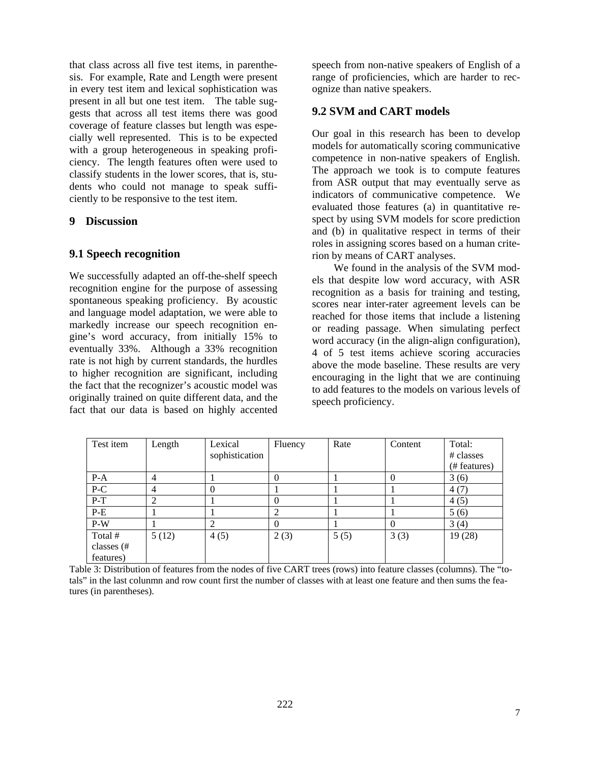that class across all five test items, in parenthesis. For example, Rate and Length were present in every test item and lexical sophistication was present in all but one test item. The table suggests that across all test items there was good coverage of feature classes but length was especially well represented. This is to be expected with a group heterogeneous in speaking proficiency. The length features often were used to classify students in the lower scores, that is, students who could not manage to speak sufficiently to be responsive to the test item.

#### **9 Discussion**

#### **9.1 Speech recognition**

We successfully adapted an off-the-shelf speech recognition engine for the purpose of assessing spontaneous speaking proficiency. By acoustic and language model adaptation, we were able to markedly increase our speech recognition engine's word accuracy, from initially 15% to eventually 33%. Although a 33% recognition rate is not high by current standards, the hurdles to higher recognition are significant, including the fact that the recognizer's acoustic model was originally trained on quite different data, and the fact that our data is based on highly accented

speech from non-native speakers of English of a range of proficiencies, which are harder to recognize than native speakers.

#### **9.2 SVM and CART models**

Our goal in this research has been to develop models for automatically scoring communicative competence in non-native speakers of English. The approach we took is to compute features from ASR output that may eventually serve as indicators of communicative competence. We evaluated those features (a) in quantitative respect by using SVM models for score prediction and (b) in qualitative respect in terms of their roles in assigning scores based on a human criterion by means of CART analyses.

We found in the analysis of the SVM models that despite low word accuracy, with ASR recognition as a basis for training and testing, scores near inter-rater agreement levels can be reached for those items that include a listening or reading passage. When simulating perfect word accuracy (in the align-align configuration), 4 of 5 test items achieve scoring accuracies above the mode baseline. These results are very encouraging in the light that we are continuing to add features to the models on various levels of speech proficiency.

| Test item  | Length | Lexical        | Fluency | Rate | Content | Total:       |
|------------|--------|----------------|---------|------|---------|--------------|
|            |        | sophistication |         |      |         | # classes    |
|            |        |                |         |      |         | (# features) |
| $P-A$      | 4      |                |         |      |         | 3(6)         |
| $P-C$      |        | 0              |         |      |         | 4(7)         |
| $P-T$      |        |                |         |      |         | 4(5)         |
| $P-E$      |        |                |         |      |         | 5(6)         |
| $P-W$      |        | 2              |         |      |         | 3(4)         |
| Total #    | 5(12)  | 4(5)           | 2(3)    | 5(5) | 3(3)    | 19(28)       |
| classes (# |        |                |         |      |         |              |
| features)  |        |                |         |      |         |              |

Table 3: Distribution of features from the nodes of five CART trees (rows) into feature classes (columns). The "totals" in the last colunmn and row count first the number of classes with at least one feature and then sums the features (in parentheses).